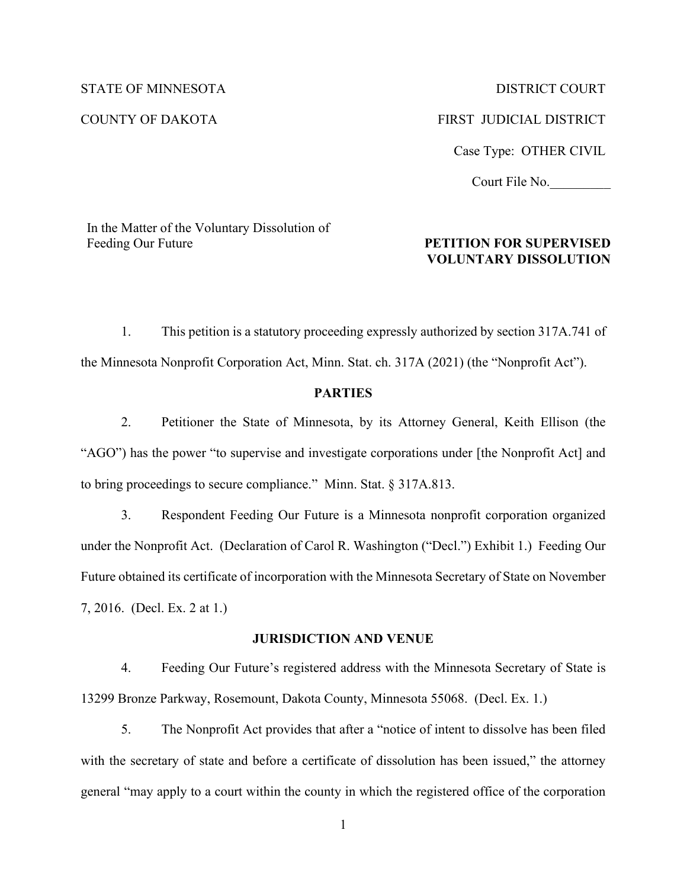STATE OF MINNESOTA DISTRICT COURT COUNTY OF DAKOTA FIRST JUDICIAL DISTRICT Case Type: OTHER CIVIL Court File No.\_\_\_\_\_\_\_\_\_

In the Matter of the Voluntary Dissolution of Feeding Our Future

#### **PETITION FOR SUPERVISED VOLUNTARY DISSOLUTION**

1. This petition is a statutory proceeding expressly authorized by section 317A.741 of the Minnesota Nonprofit Corporation Act, Minn. Stat. ch. 317A (2021) (the "Nonprofit Act").

## **PARTIES**

2. Petitioner the State of Minnesota, by its Attorney General, Keith Ellison (the "AGO") has the power "to supervise and investigate corporations under [the Nonprofit Act] and to bring proceedings to secure compliance." Minn. Stat. § 317A.813.

3. Respondent Feeding Our Future is a Minnesota nonprofit corporation organized under the Nonprofit Act. (Declaration of Carol R. Washington ("Decl.") Exhibit 1.) Feeding Our Future obtained its certificate of incorporation with the Minnesota Secretary of State on November 7, 2016. (Decl. Ex. 2 at 1.)

#### **JURISDICTION AND VENUE**

4. Feeding Our Future's registered address with the Minnesota Secretary of State is 13299 Bronze Parkway, Rosemount, Dakota County, Minnesota 55068. (Decl. Ex. 1.)

5. The Nonprofit Act provides that after a "notice of intent to dissolve has been filed with the secretary of state and before a certificate of dissolution has been issued," the attorney general "may apply to a court within the county in which the registered office of the corporation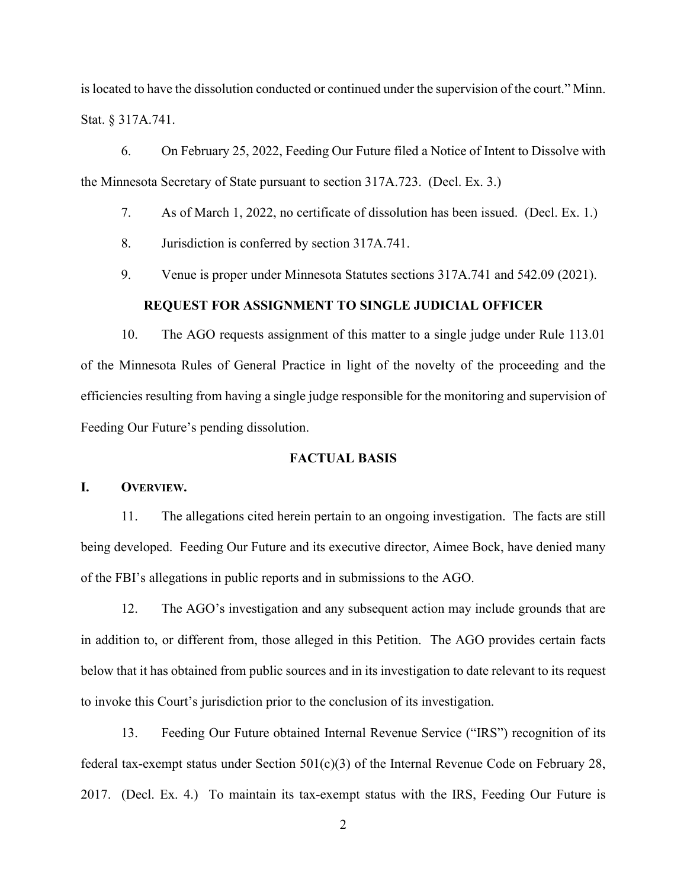is located to have the dissolution conducted or continued under the supervision of the court." Minn. Stat. § 317A.741.

6. On February 25, 2022, Feeding Our Future filed a Notice of Intent to Dissolve with the Minnesota Secretary of State pursuant to section 317A.723. (Decl. Ex. 3.)

7. As of March 1, 2022, no certificate of dissolution has been issued. (Decl. Ex. 1.)

- 8. Jurisdiction is conferred by section 317A.741.
- 9. Venue is proper under Minnesota Statutes sections 317A.741 and 542.09 (2021).

#### **REQUEST FOR ASSIGNMENT TO SINGLE JUDICIAL OFFICER**

10. The AGO requests assignment of this matter to a single judge under Rule 113.01 of the Minnesota Rules of General Practice in light of the novelty of the proceeding and the efficiencies resulting from having a single judge responsible for the monitoring and supervision of Feeding Our Future's pending dissolution.

## **FACTUAL BASIS**

#### **I. OVERVIEW.**

11. The allegations cited herein pertain to an ongoing investigation. The facts are still being developed. Feeding Our Future and its executive director, Aimee Bock, have denied many of the FBI's allegations in public reports and in submissions to the AGO.

12. The AGO's investigation and any subsequent action may include grounds that are in addition to, or different from, those alleged in this Petition. The AGO provides certain facts below that it has obtained from public sources and in its investigation to date relevant to its request to invoke this Court's jurisdiction prior to the conclusion of its investigation.

13. Feeding Our Future obtained Internal Revenue Service ("IRS") recognition of its federal tax-exempt status under Section  $501(c)(3)$  of the Internal Revenue Code on February 28, 2017. (Decl. Ex. 4.) To maintain its tax-exempt status with the IRS, Feeding Our Future is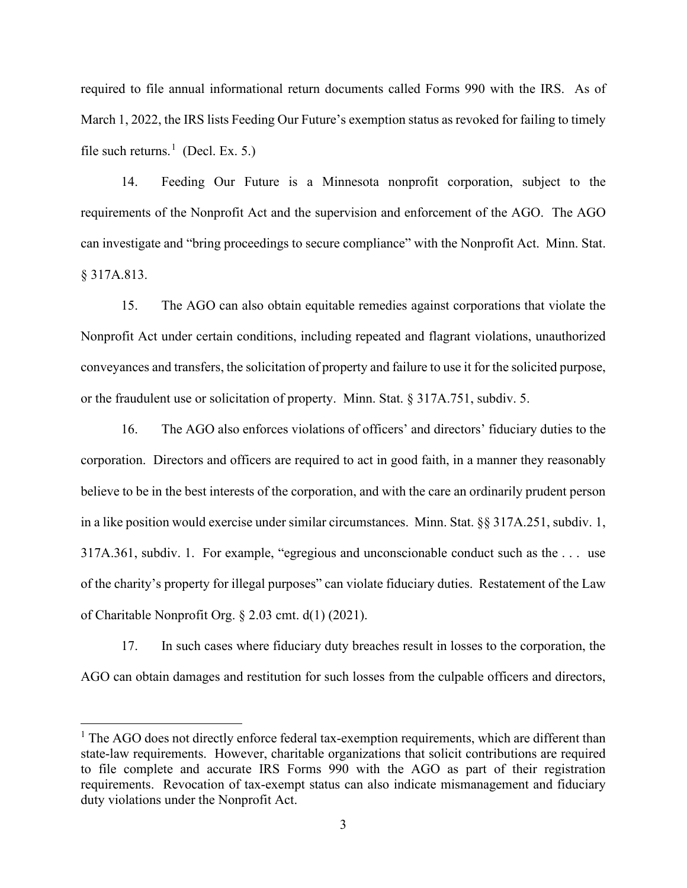required to file annual informational return documents called Forms 990 with the IRS. As of March 1, 2022, the IRS lists Feeding Our Future's exemption status as revoked for failing to timely file such returns.<sup>[1](#page-2-0)</sup> (Decl. Ex. 5.)

14. Feeding Our Future is a Minnesota nonprofit corporation, subject to the requirements of the Nonprofit Act and the supervision and enforcement of the AGO. The AGO can investigate and "bring proceedings to secure compliance" with the Nonprofit Act. Minn. Stat. § 317A.813.

15. The AGO can also obtain equitable remedies against corporations that violate the Nonprofit Act under certain conditions, including repeated and flagrant violations, unauthorized conveyances and transfers, the solicitation of property and failure to use it for the solicited purpose, or the fraudulent use or solicitation of property. Minn. Stat. § 317A.751, subdiv. 5.

16. The AGO also enforces violations of officers' and directors' fiduciary duties to the corporation. Directors and officers are required to act in good faith, in a manner they reasonably believe to be in the best interests of the corporation, and with the care an ordinarily prudent person in a like position would exercise under similar circumstances. Minn. Stat. §§ 317A.251, subdiv. 1, 317A.361, subdiv. 1. For example, "egregious and unconscionable conduct such as the . . . use of the charity's property for illegal purposes" can violate fiduciary duties. Restatement of the Law of Charitable Nonprofit Org. § 2.03 cmt. d(1) (2021).

17. In such cases where fiduciary duty breaches result in losses to the corporation, the AGO can obtain damages and restitution for such losses from the culpable officers and directors,

<span id="page-2-0"></span><sup>&</sup>lt;sup>1</sup> The AGO does not directly enforce federal tax-exemption requirements, which are different than state-law requirements. However, charitable organizations that solicit contributions are required to file complete and accurate IRS Forms 990 with the AGO as part of their registration requirements. Revocation of tax-exempt status can also indicate mismanagement and fiduciary duty violations under the Nonprofit Act.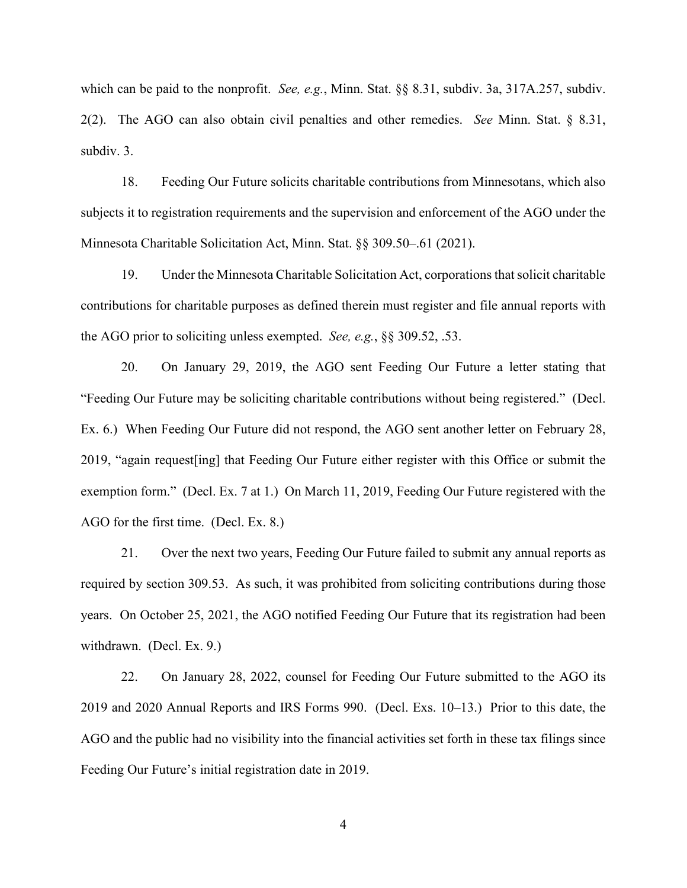which can be paid to the nonprofit. *See, e.g.*, Minn. Stat. §§ 8.31, subdiv. 3a, 317A.257, subdiv. 2(2). The AGO can also obtain civil penalties and other remedies. *See* Minn. Stat. § 8.31, subdiv. 3.

18. Feeding Our Future solicits charitable contributions from Minnesotans, which also subjects it to registration requirements and the supervision and enforcement of the AGO under the Minnesota Charitable Solicitation Act, Minn. Stat. §§ 309.50–.61 (2021).

19. Under the Minnesota Charitable Solicitation Act, corporations that solicit charitable contributions for charitable purposes as defined therein must register and file annual reports with the AGO prior to soliciting unless exempted. *See, e.g.*, §§ 309.52, .53.

20. On January 29, 2019, the AGO sent Feeding Our Future a letter stating that "Feeding Our Future may be soliciting charitable contributions without being registered." (Decl. Ex. 6.) When Feeding Our Future did not respond, the AGO sent another letter on February 28, 2019, "again request[ing] that Feeding Our Future either register with this Office or submit the exemption form." (Decl. Ex. 7 at 1.) On March 11, 2019, Feeding Our Future registered with the AGO for the first time. (Decl. Ex. 8.)

21. Over the next two years, Feeding Our Future failed to submit any annual reports as required by section 309.53. As such, it was prohibited from soliciting contributions during those years. On October 25, 2021, the AGO notified Feeding Our Future that its registration had been withdrawn. (Decl. Ex. 9.)

22. On January 28, 2022, counsel for Feeding Our Future submitted to the AGO its 2019 and 2020 Annual Reports and IRS Forms 990. (Decl. Exs. 10–13.) Prior to this date, the AGO and the public had no visibility into the financial activities set forth in these tax filings since Feeding Our Future's initial registration date in 2019.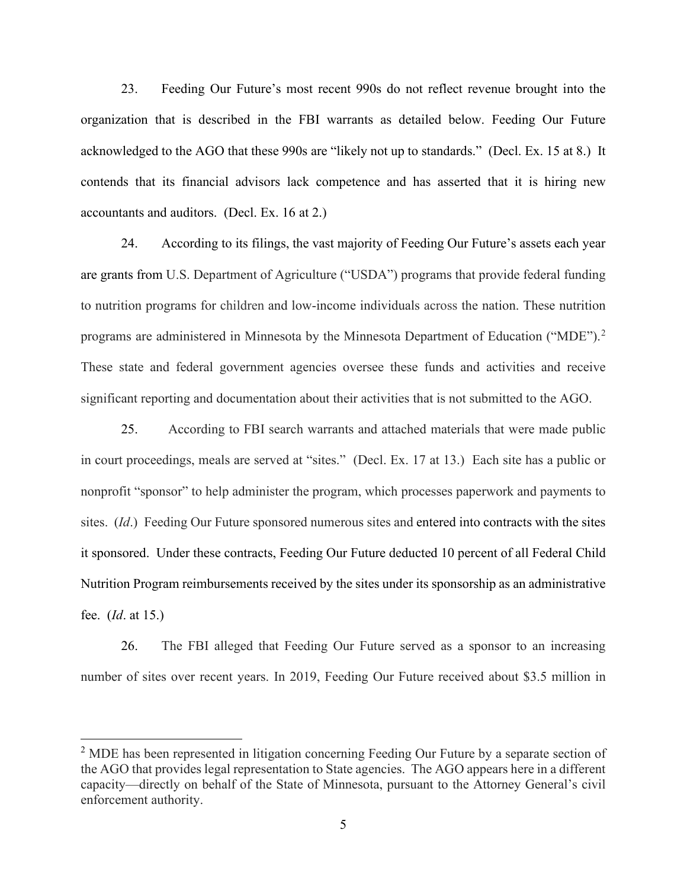23. Feeding Our Future's most recent 990s do not reflect revenue brought into the organization that is described in the FBI warrants as detailed below. Feeding Our Future acknowledged to the AGO that these 990s are "likely not up to standards." (Decl. Ex. 15 at 8.) It contends that its financial advisors lack competence and has asserted that it is hiring new accountants and auditors. (Decl. Ex. 16 at 2.)

24. According to its filings, the vast majority of Feeding Our Future's assets each year are grants from U.S. Department of Agriculture ("USDA") programs that provide federal funding to nutrition programs for children and low-income individuals across the nation. These nutrition programs are administered in Minnesota by the Minnesota Department of Education ("MDE").<sup>[2](#page-4-0)</sup> These state and federal government agencies oversee these funds and activities and receive significant reporting and documentation about their activities that is not submitted to the AGO.

25. According to FBI search warrants and attached materials that were made public in court proceedings, meals are served at "sites." (Decl. Ex. 17 at 13.) Each site has a public or nonprofit "sponsor" to help administer the program, which processes paperwork and payments to sites. (*Id*.) Feeding Our Future sponsored numerous sites and entered into contracts with the sites it sponsored. Under these contracts, Feeding Our Future deducted 10 percent of all Federal Child Nutrition Program reimbursements received by the sites under its sponsorship as an administrative fee. (*Id*. at 15.)

26. The FBI alleged that Feeding Our Future served as a sponsor to an increasing number of sites over recent years. In 2019, Feeding Our Future received about \$3.5 million in

<span id="page-4-0"></span><sup>&</sup>lt;sup>2</sup> MDE has been represented in litigation concerning Feeding Our Future by a separate section of the AGO that provides legal representation to State agencies. The AGO appears here in a different capacity—directly on behalf of the State of Minnesota, pursuant to the Attorney General's civil enforcement authority.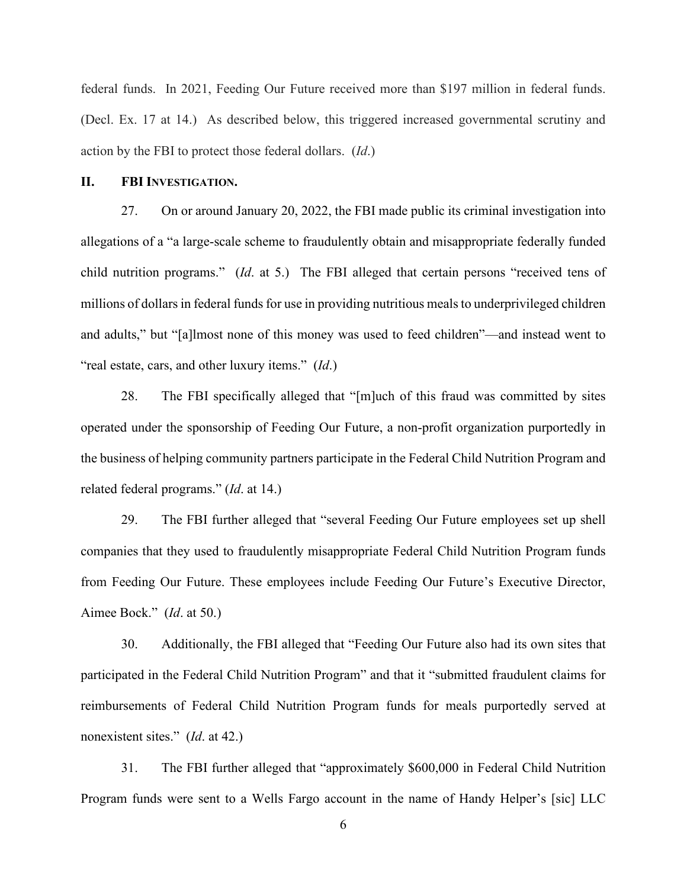federal funds. In 2021, Feeding Our Future received more than \$197 million in federal funds. (Decl. Ex. 17 at 14.) As described below, this triggered increased governmental scrutiny and action by the FBI to protect those federal dollars. (*Id*.)

#### **II. FBI INVESTIGATION.**

27. On or around January 20, 2022, the FBI made public its criminal investigation into allegations of a "a large-scale scheme to fraudulently obtain and misappropriate federally funded child nutrition programs." (*Id*. at 5.) The FBI alleged that certain persons "received tens of millions of dollars in federal funds for use in providing nutritious meals to underprivileged children and adults," but "[a]lmost none of this money was used to feed children"—and instead went to "real estate, cars, and other luxury items." (*Id*.)

28. The FBI specifically alleged that "[m]uch of this fraud was committed by sites operated under the sponsorship of Feeding Our Future, a non-profit organization purportedly in the business of helping community partners participate in the Federal Child Nutrition Program and related federal programs." (*Id*. at 14.)

29. The FBI further alleged that "several Feeding Our Future employees set up shell companies that they used to fraudulently misappropriate Federal Child Nutrition Program funds from Feeding Our Future. These employees include Feeding Our Future's Executive Director, Aimee Bock." (*Id*. at 50.)

30. Additionally, the FBI alleged that "Feeding Our Future also had its own sites that participated in the Federal Child Nutrition Program" and that it "submitted fraudulent claims for reimbursements of Federal Child Nutrition Program funds for meals purportedly served at nonexistent sites." (*Id*. at 42.)

31. The FBI further alleged that "approximately \$600,000 in Federal Child Nutrition Program funds were sent to a Wells Fargo account in the name of Handy Helper's [sic] LLC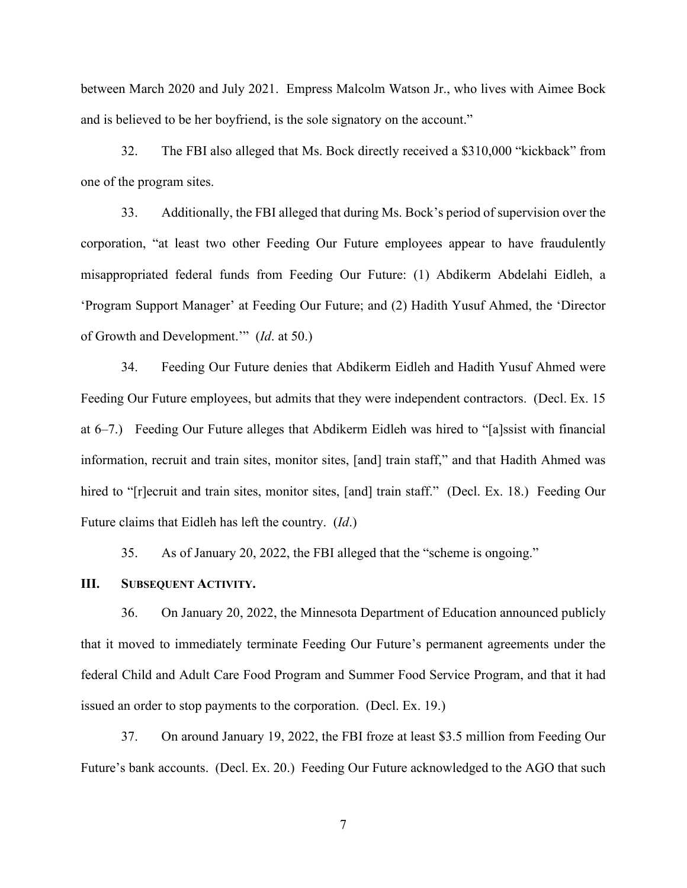between March 2020 and July 2021. Empress Malcolm Watson Jr., who lives with Aimee Bock and is believed to be her boyfriend, is the sole signatory on the account."

32. The FBI also alleged that Ms. Bock directly received a \$310,000 "kickback" from one of the program sites.

33. Additionally, the FBI alleged that during Ms. Bock's period of supervision over the corporation, "at least two other Feeding Our Future employees appear to have fraudulently misappropriated federal funds from Feeding Our Future: (1) Abdikerm Abdelahi Eidleh, a 'Program Support Manager' at Feeding Our Future; and (2) Hadith Yusuf Ahmed, the 'Director of Growth and Development.'" (*Id*. at 50.)

34. Feeding Our Future denies that Abdikerm Eidleh and Hadith Yusuf Ahmed were Feeding Our Future employees, but admits that they were independent contractors. (Decl. Ex. 15 at 6–7.) Feeding Our Future alleges that Abdikerm Eidleh was hired to "[a]ssist with financial information, recruit and train sites, monitor sites, [and] train staff," and that Hadith Ahmed was hired to "[r]ecruit and train sites, monitor sites, [and] train staff." (Decl. Ex. 18.) Feeding Our Future claims that Eidleh has left the country. (*Id*.)

35. As of January 20, 2022, the FBI alleged that the "scheme is ongoing."

#### **III. SUBSEQUENT ACTIVITY.**

36. On January 20, 2022, the Minnesota Department of Education announced publicly that it moved to immediately terminate Feeding Our Future's permanent agreements under the federal Child and Adult Care Food Program and Summer Food Service Program, and that it had issued an order to stop payments to the corporation. (Decl. Ex. 19.)

37. On around January 19, 2022, the FBI froze at least \$3.5 million from Feeding Our Future's bank accounts. (Decl. Ex. 20.) Feeding Our Future acknowledged to the AGO that such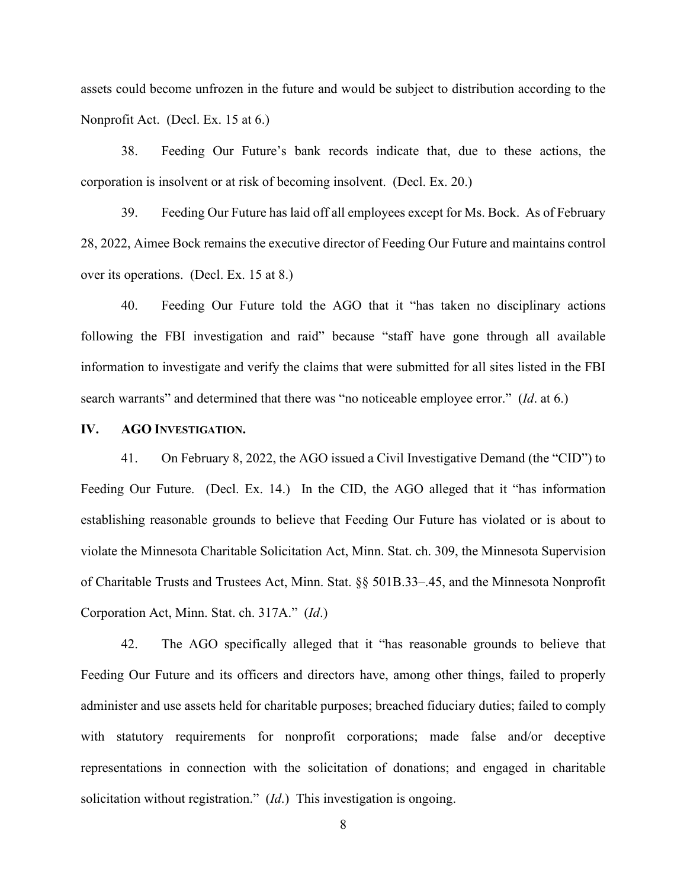assets could become unfrozen in the future and would be subject to distribution according to the Nonprofit Act. (Decl. Ex. 15 at 6.)

38. Feeding Our Future's bank records indicate that, due to these actions, the corporation is insolvent or at risk of becoming insolvent. (Decl. Ex. 20.)

39. Feeding Our Future has laid off all employees except for Ms. Bock. As of February 28, 2022, Aimee Bock remains the executive director of Feeding Our Future and maintains control over its operations. (Decl. Ex. 15 at 8.)

40. Feeding Our Future told the AGO that it "has taken no disciplinary actions following the FBI investigation and raid" because "staff have gone through all available information to investigate and verify the claims that were submitted for all sites listed in the FBI search warrants" and determined that there was "no noticeable employee error." (*Id*. at 6.)

#### **IV. AGO INVESTIGATION.**

41. On February 8, 2022, the AGO issued a Civil Investigative Demand (the "CID") to Feeding Our Future. (Decl. Ex. 14.) In the CID, the AGO alleged that it "has information establishing reasonable grounds to believe that Feeding Our Future has violated or is about to violate the Minnesota Charitable Solicitation Act, Minn. Stat. ch. 309, the Minnesota Supervision of Charitable Trusts and Trustees Act, Minn. Stat. §§ 501B.33–.45, and the Minnesota Nonprofit Corporation Act, Minn. Stat. ch. 317A." (*Id*.)

42. The AGO specifically alleged that it "has reasonable grounds to believe that Feeding Our Future and its officers and directors have, among other things, failed to properly administer and use assets held for charitable purposes; breached fiduciary duties; failed to comply with statutory requirements for nonprofit corporations; made false and/or deceptive representations in connection with the solicitation of donations; and engaged in charitable solicitation without registration." (*Id*.) This investigation is ongoing.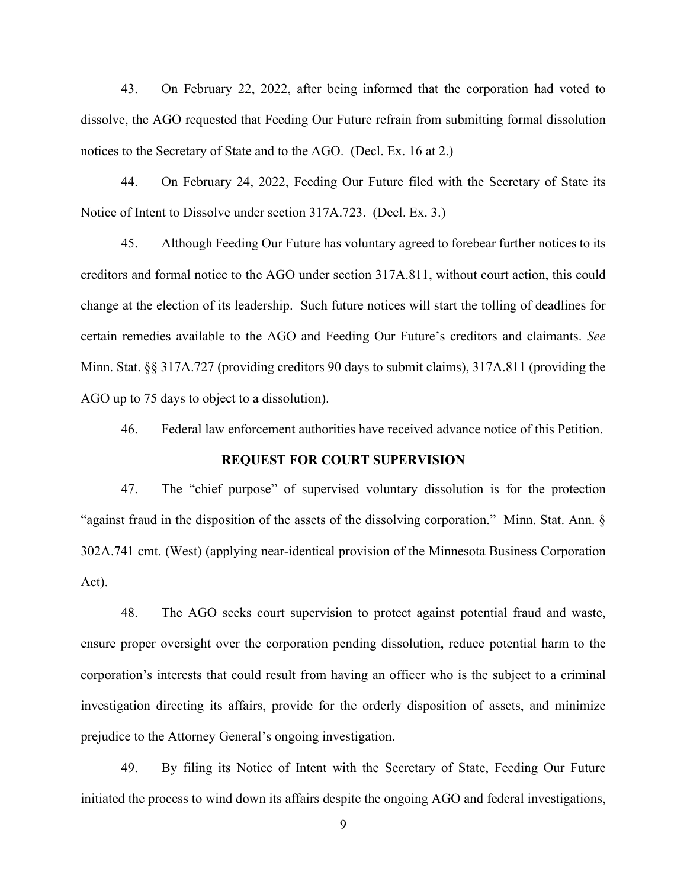43. On February 22, 2022, after being informed that the corporation had voted to dissolve, the AGO requested that Feeding Our Future refrain from submitting formal dissolution notices to the Secretary of State and to the AGO. (Decl. Ex. 16 at 2.)

44. On February 24, 2022, Feeding Our Future filed with the Secretary of State its Notice of Intent to Dissolve under section 317A.723. (Decl. Ex. 3.)

45. Although Feeding Our Future has voluntary agreed to forebear further notices to its creditors and formal notice to the AGO under section 317A.811, without court action, this could change at the election of its leadership. Such future notices will start the tolling of deadlines for certain remedies available to the AGO and Feeding Our Future's creditors and claimants. *See* Minn. Stat. §§ 317A.727 (providing creditors 90 days to submit claims), 317A.811 (providing the AGO up to 75 days to object to a dissolution).

46. Federal law enforcement authorities have received advance notice of this Petition.

#### **REQUEST FOR COURT SUPERVISION**

47. The "chief purpose" of supervised voluntary dissolution is for the protection "against fraud in the disposition of the assets of the dissolving corporation." Minn. Stat. Ann. § 302A.741 cmt. (West) (applying near-identical provision of the Minnesota Business Corporation Act).

48. The AGO seeks court supervision to protect against potential fraud and waste, ensure proper oversight over the corporation pending dissolution, reduce potential harm to the corporation's interests that could result from having an officer who is the subject to a criminal investigation directing its affairs, provide for the orderly disposition of assets, and minimize prejudice to the Attorney General's ongoing investigation.

49. By filing its Notice of Intent with the Secretary of State, Feeding Our Future initiated the process to wind down its affairs despite the ongoing AGO and federal investigations,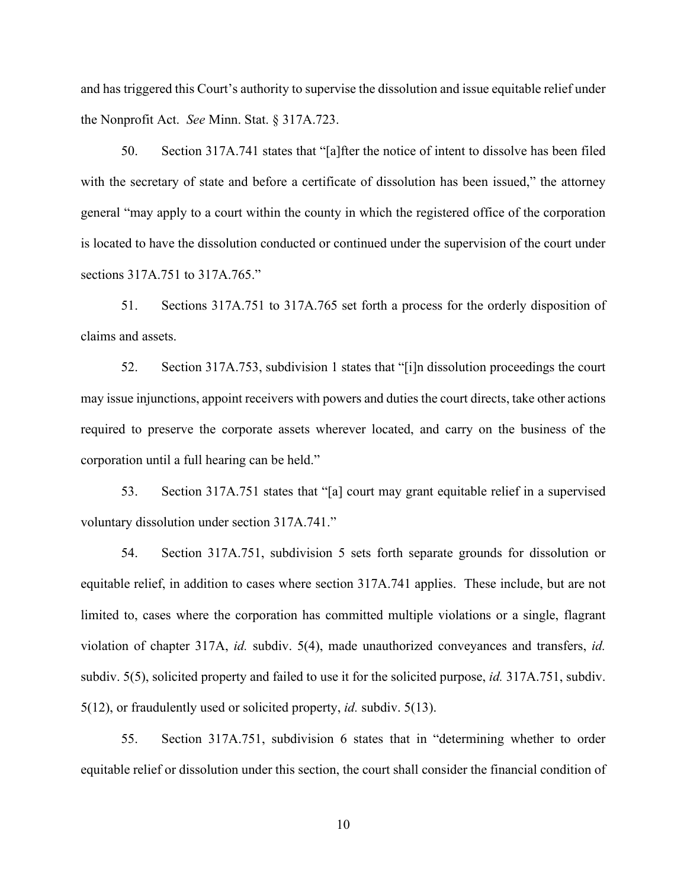and has triggered this Court's authority to supervise the dissolution and issue equitable relief under the Nonprofit Act. *See* Minn. Stat. § 317A.723.

50. Section 317A.741 states that "[a]fter the notice of intent to dissolve has been filed with the secretary of state and before a certificate of dissolution has been issued," the attorney general "may apply to a court within the county in which the registered office of the corporation is located to have the dissolution conducted or continued under the supervision of the court under sections 317A.751 to 317A.765."

51. Sections 317A.751 to 317A.765 set forth a process for the orderly disposition of claims and assets.

52. Section 317A.753, subdivision 1 states that "[i]n dissolution proceedings the court may issue injunctions, appoint receivers with powers and duties the court directs, take other actions required to preserve the corporate assets wherever located, and carry on the business of the corporation until a full hearing can be held."

53. Section 317A.751 states that "[a] court may grant equitable relief in a supervised voluntary dissolution under section 317A.741."

54. Section 317A.751, subdivision 5 sets forth separate grounds for dissolution or equitable relief, in addition to cases where section 317A.741 applies. These include, but are not limited to, cases where the corporation has committed multiple violations or a single, flagrant violation of chapter 317A, *id.* subdiv. 5(4), made unauthorized conveyances and transfers, *id.* subdiv. 5(5), solicited property and failed to use it for the solicited purpose, *id.* 317A.751, subdiv. 5(12), or fraudulently used or solicited property, *id.* subdiv. 5(13).

55. Section 317A.751, subdivision 6 states that in "determining whether to order equitable relief or dissolution under this section, the court shall consider the financial condition of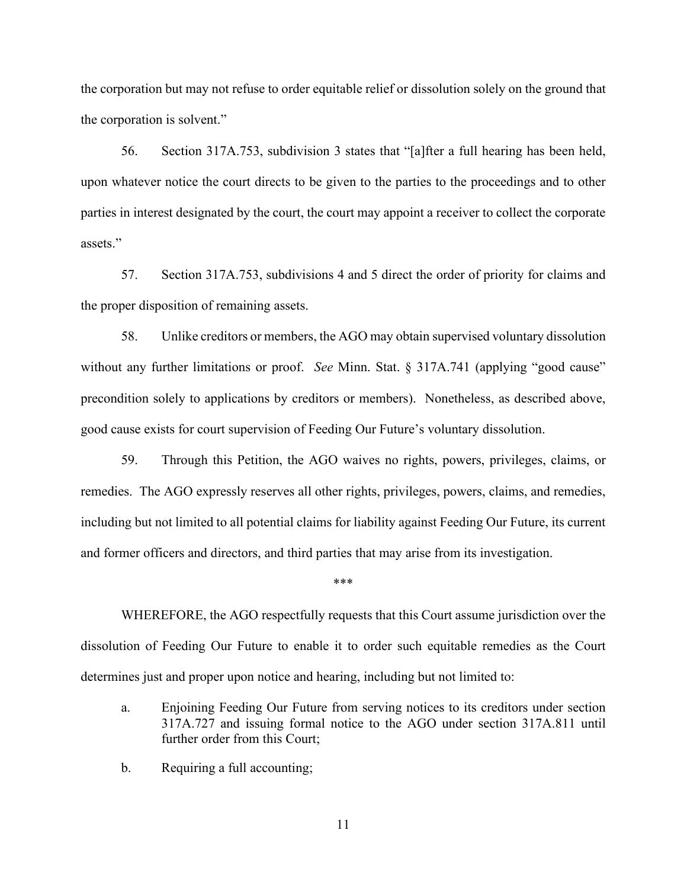the corporation but may not refuse to order equitable relief or dissolution solely on the ground that the corporation is solvent."

56. Section 317A.753, subdivision 3 states that "[a]fter a full hearing has been held, upon whatever notice the court directs to be given to the parties to the proceedings and to other parties in interest designated by the court, the court may appoint a receiver to collect the corporate assets."

57. Section 317A.753, subdivisions 4 and 5 direct the order of priority for claims and the proper disposition of remaining assets.

58. Unlike creditors or members, the AGO may obtain supervised voluntary dissolution without any further limitations or proof. *See* Minn. Stat. § 317A.741 (applying "good cause" precondition solely to applications by creditors or members). Nonetheless, as described above, good cause exists for court supervision of Feeding Our Future's voluntary dissolution.

59. Through this Petition, the AGO waives no rights, powers, privileges, claims, or remedies. The AGO expressly reserves all other rights, privileges, powers, claims, and remedies, including but not limited to all potential claims for liability against Feeding Our Future, its current and former officers and directors, and third parties that may arise from its investigation.

#### \*\*\*

WHEREFORE, the AGO respectfully requests that this Court assume jurisdiction over the dissolution of Feeding Our Future to enable it to order such equitable remedies as the Court determines just and proper upon notice and hearing, including but not limited to:

- a. Enjoining Feeding Our Future from serving notices to its creditors under section 317A.727 and issuing formal notice to the AGO under section 317A.811 until further order from this Court;
- b. Requiring a full accounting;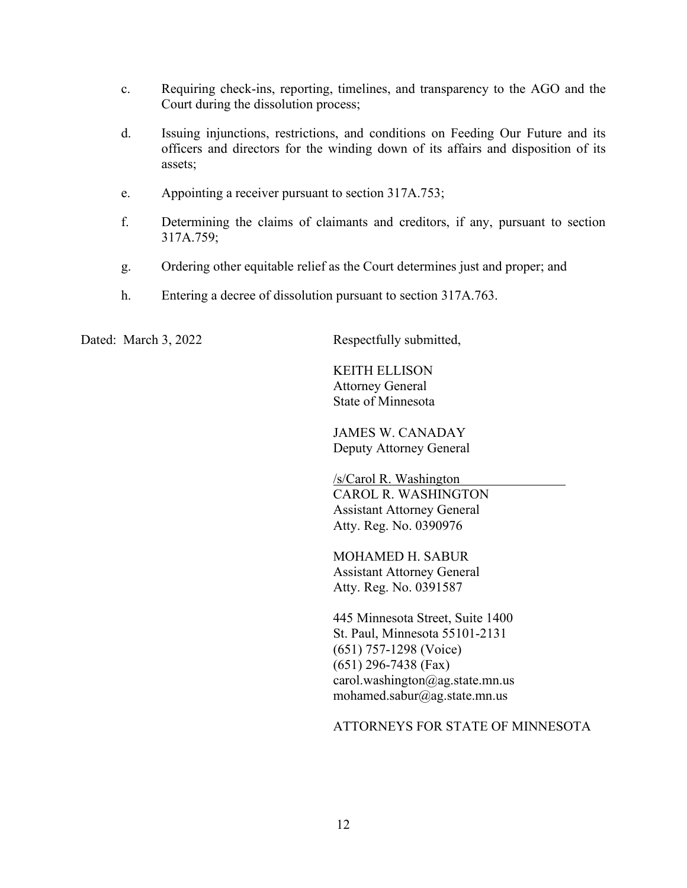- c. Requiring check-ins, reporting, timelines, and transparency to the AGO and the Court during the dissolution process;
- d. Issuing injunctions, restrictions, and conditions on Feeding Our Future and its officers and directors for the winding down of its affairs and disposition of its assets;
- e. Appointing a receiver pursuant to section 317A.753;
- f. Determining the claims of claimants and creditors, if any, pursuant to section 317A.759;
- g. Ordering other equitable relief as the Court determines just and proper; and
- h. Entering a decree of dissolution pursuant to section 317A.763.

Dated: March 3, 2022 Respectfully submitted,

KEITH ELLISON Attorney General State of Minnesota

JAMES W. CANADAY Deputy Attorney General

/s/Carol R. Washington CAROL R. WASHINGTON Assistant Attorney General Atty. Reg. No. 0390976

MOHAMED H. SABUR Assistant Attorney General Atty. Reg. No. 0391587

445 Minnesota Street, Suite 1400 St. Paul, Minnesota 55101-2131 (651) 757-1298 (Voice) (651) 296-7438 (Fax) carol.washington@ag.state.mn.us mohamed.sabur@ag.state.mn.us

ATTORNEYS FOR STATE OF MINNESOTA